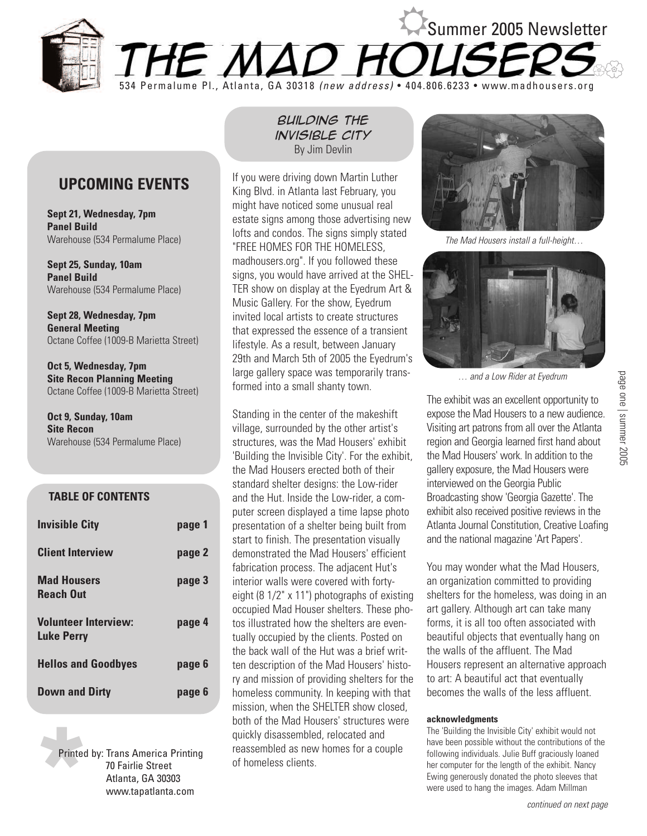

# **UPCOMING EVENTS**

**Sept 21, Wednesday, 7pm Panel Build** Warehouse (534 Permalume Place)

**Sept 25, Sunday, 10am Panel Build** Warehouse (534 Permalume Place)

**Sept 28, Wednesday, 7pm General Meeting** Octane Coffee (1009-B Marietta Street)

**Oct 5, Wednesday, 7pm Site Recon Planning Meeting** Octane Coffee (1009-B Marietta Street)

**Oct 9, Sunday, 10am Site Recon** Warehouse (534 Permalume Place)

#### **TABLE OF CONTENTS**

| <b>Invisible City</b>                            | page 1 |
|--------------------------------------------------|--------|
| <b>Client Interview</b>                          | page 2 |
| <b>Mad Housers</b><br><b>Reach Out</b>           | page 3 |
| <b>Volunteer Interview:</b><br><b>Luke Perry</b> | page 4 |
| <b>Hellos and Goodbyes</b>                       | page 6 |
| <b>Down and Dirty</b>                            | page 6 |

Printed<br>Printed<br>Started<br>Started<br>Started<br>Started<br>Started<br>Started<br>Started<br>Started<br>Started<br>Started<br>Started<br>Started<br>Started<br>Started<br>Started<br>Started<br>Started<br>Started<br>Started<br>Started<br>Started<br>Started<br>Started<br> Printed by: Trans America Printing 70 Fairlie Street Atlanta, GA 30303 www.tapatlanta.com

# *Building the invisible city* By Jim Devlin

If you were driving down Martin Luther King Blvd. in Atlanta last February, you might have noticed some unusual real estate signs among those advertising new lofts and condos. The signs simply stated "FREE HOMES FOR THE HOMELESS, madhousers.org". If you followed these signs, you would have arrived at the SHEL-TER show on display at the Eyedrum Art & Music Gallery. For the show, Eyedrum invited local artists to create structures that expressed the essence of a transient lifestyle. As a result, between January 29th and March 5th of 2005 the Eyedrum's large gallery space was temporarily transformed into a small shanty town.

Standing in the center of the makeshift village, surrounded by the other artist's structures, was the Mad Housers' exhibit 'Building the Invisible City'. For the exhibit, the Mad Housers erected both of their standard shelter designs: the Low-rider and the Hut. Inside the Low-rider, a computer screen displayed a time lapse photo presentation of a shelter being built from start to finish. The presentation visually demonstrated the Mad Housers' efficient fabrication process. The adjacent Hut's interior walls were covered with fortyeight (8 1/2" x 11") photographs of existing occupied Mad Houser shelters. These photos illustrated how the shelters are eventually occupied by the clients. Posted on the back wall of the Hut was a brief written description of the Mad Housers' history and mission of providing shelters for the homeless community. In keeping with that mission, when the SHELTER show closed, both of the Mad Housers' structures were quickly disassembled, relocated and reassembled as new homes for a couple of homeless clients.



The Mad Housers install a full-height…



… and a Low Rider at Eyedrum

The exhibit was an excellent opportunity to expose the Mad Housers to a new audience. Visiting art patrons from all over the Atlanta region and Georgia learned first hand about the Mad Housers' work. In addition to the gallery exposure, the Mad Housers were interviewed on the Georgia Public Broadcasting show 'Georgia Gazette'. The exhibit also received positive reviews in the Atlanta Journal Constitution, Creative Loafing and the national magazine 'Art Papers'.

page one | summer 2005

page one | summer 2005

You may wonder what the Mad Housers, an organization committed to providing shelters for the homeless, was doing in an art gallery. Although art can take many forms, it is all too often associated with beautiful objects that eventually hang on the walls of the affluent. The Mad Housers represent an alternative approach to art: A beautiful act that eventually becomes the walls of the less affluent.

#### **acknowledgments**

The 'Building the Invisible City' exhibit would not have been possible without the contributions of the following individuals. Julie Buff graciously loaned her computer for the length of the exhibit. Nancy Ewing generously donated the photo sleeves that were used to hang the images. Adam Millman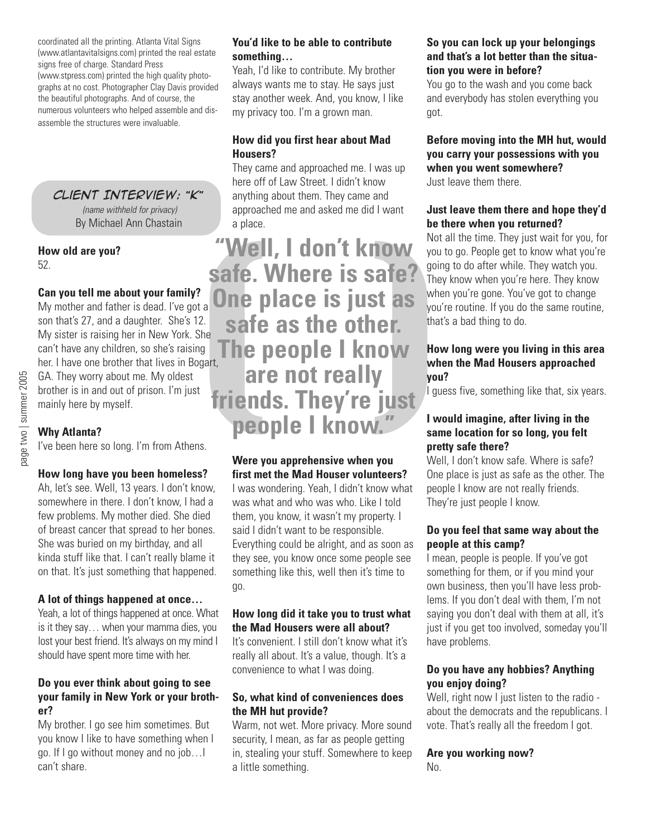coordinated all the printing. Atlanta Vital Signs (www.atlantavitalsigns.com) printed the real estate signs free of charge. Standard Press (www.stpress.com) printed the high quality photographs at no cost. Photographer Clay Davis provided the beautiful photographs. And of course, the numerous volunteers who helped assemble and disassemble the structures were invaluable.

*Client Interview:* **"***K***"** (name withheld for privacy) By Michael Ann Chastain

**How old are you?** 52.

### **Can you tell me about your family?**

My mother and father is dead. I've got a son that's 27, and a daughter. She's 12. My sister is raising her in New York. She can't have any children, so she's raising her. I have one brother that lives in Bogart, GA. They worry about me. My oldest brother is in and out of prison. I'm just mainly here by myself.

#### **Why Atlanta?**

I've been here so long. I'm from Athens.

#### **How long have you been homeless?**

Ah, let's see. Well, 13 years. I don't know, somewhere in there. I don't know, I had a few problems. My mother died. She died of breast cancer that spread to her bones. She was buried on my birthday, and all kinda stuff like that. I can't really blame it on that. It's just something that happened.

#### **A lot of things happened at once…**

Yeah, a lot of things happened at once. What is it they say… when your mamma dies, you lost your best friend. It's always on my mind I should have spent more time with her.

#### **Do you ever think about going to see your family in New York or your brother?**

My brother. I go see him sometimes. But you know I like to have something when I go. If I go without money and no job…I can't share.

#### **You'd like to be able to contribute something…**

Yeah, I'd like to contribute. My brother always wants me to stay. He says just stay another week. And, you know, I like my privacy too. I'm a grown man.

#### **How did you first hear about Mad Housers?**

They came and approached me. I was up here off of Law Street. I didn't know anything about them. They came and approached me and asked me did I want a place.

**EXAMPLE IS Safe 2**<br> **Safe. Where is safe?**<br>
The place is just as whe<br>
<sup>12</sup>. **safe as the other.**<br>
<sup>12</sup>. **safe as the other.**<br>
<sup>13</sup><br>
<sup>190</sup><br>
<sup>190</sup><br>
<sup>190</sup><br>
<sup>190</sup><br> **1910**<br> **1910**<br> **1910**<br> **1910**<br> **1910**<br> **1910**<br> **1910**<br> **1910 safe. Where is safe? One place is just as safe as the other. The people I know are not really friends. They're just people I know."**

# **Were you apprehensive when you first met the Mad Houser volunteers?**

I was wondering. Yeah, I didn't know what was what and who was who. Like I told them, you know, it wasn't my property. I said I didn't want to be responsible. Everything could be alright, and as soon as they see, you know once some people see something like this, well then it's time to go.

#### **How long did it take you to trust what the Mad Housers were all about?**

It's convenient. I still don't know what it's really all about. It's a value, though. It's a convenience to what I was doing.

#### **So, what kind of conveniences does the MH hut provide?**

Warm, not wet. More privacy. More sound security, I mean, as far as people getting in, stealing your stuff. Somewhere to keep a little something.

#### **So you can lock up your belongings and that's a lot better than the situation you were in before?**

You go to the wash and you come back and everybody has stolen everything you got.

#### **Before moving into the MH hut, would you carry your possessions with you when you went somewhere?** Just leave them there.

#### **Just leave them there and hope they'd be there when you returned?**

Not all the time. They just wait for you, for you to go. People get to know what you're going to do after while. They watch you. They know when you're here. They know when you're gone. You've got to change you're routine. If you do the same routine, that's a bad thing to do.

#### **How long were you living in this area when the Mad Housers approached you?**

I guess five, something like that, six years.

#### **I would imagine, after living in the same location for so long, you felt pretty safe there?**

Well, I don't know safe. Where is safe? One place is just as safe as the other. The people I know are not really friends. They're just people I know.

#### **Do you feel that same way about the people at this camp?**

I mean, people is people. If you've got something for them, or if you mind your own business, then you'll have less problems. If you don't deal with them, I'm not saying you don't deal with them at all, it's just if you get too involved, someday you'll have problems.

### **Do you have any hobbies? Anything you enjoy doing?**

Well, right now I just listen to the radio about the democrats and the republicans. I vote. That's really all the freedom I got.

#### **Are you working now?** No.

page two | summer 2005 page two | summer 2005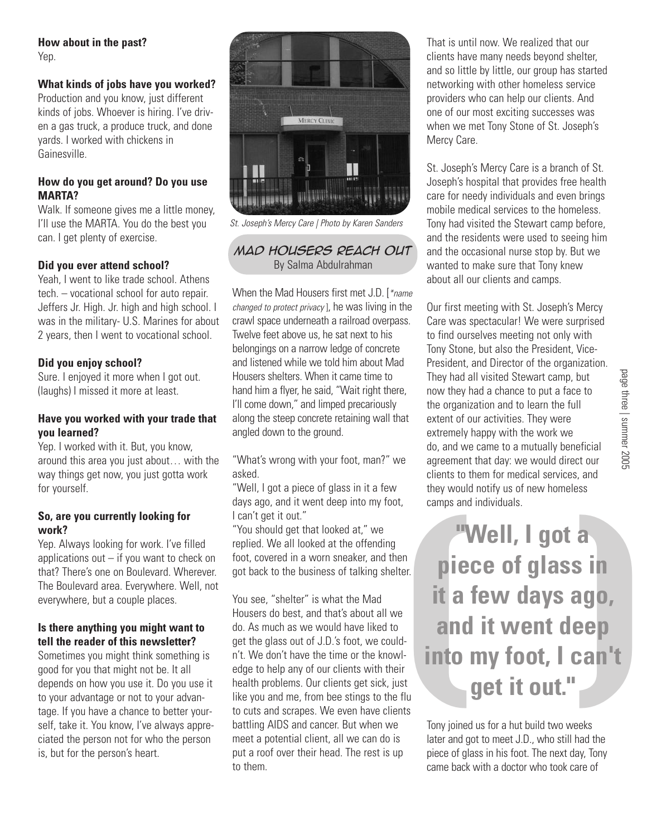#### **How about in the past?** Yep.

# **What kinds of jobs have you worked?**

Production and you know, just different kinds of jobs. Whoever is hiring. I've driven a gas truck, a produce truck, and done yards. I worked with chickens in Gainesville.

#### **How do you get around? Do you use MARTA?**

Walk. If someone gives me a little money, I'll use the MARTA. You do the best you can. I get plenty of exercise.

#### **Did you ever attend school?**

Yeah, I went to like trade school. Athens tech. – vocational school for auto repair. Jeffers Jr. High. Jr. high and high school. I was in the military- U.S. Marines for about 2 years, then I went to vocational school.

#### **Did you enjoy school?**

Sure. I enjoyed it more when I got out. (laughs) I missed it more at least.

#### **Have you worked with your trade that you learned?**

Yep. I worked with it. But, you know, around this area you just about… with the way things get now, you just gotta work for yourself.

#### **So, are you currently looking for work?**

Yep. Always looking for work. I've filled applications out  $-$  if you want to check on that? There's one on Boulevard. Wherever. The Boulevard area. Everywhere. Well, not everywhere, but a couple places.

### **Is there anything you might want to tell the reader of this newsletter?**

Sometimes you might think something is good for you that might not be. It all depends on how you use it. Do you use it to your advantage or not to your advantage. If you have a chance to better yourself, take it. You know, I've always appreciated the person not for who the person is, but for the person's heart.



St. Joseph's Mercy Care | Photo by Karen Sanders

# *mad housers reach out* By Salma Abdulrahman

When the Mad Housers first met J.D. [\*name] changed to protect privacy ], he was living in the crawl space underneath a railroad overpass. Twelve feet above us, he sat next to his belongings on a narrow ledge of concrete and listened while we told him about Mad Housers shelters. When it came time to hand him a flyer, he said, "Wait right there, I'll come down," and limped precariously along the steep concrete retaining wall that angled down to the ground.

"What's wrong with your foot, man?" we asked.

"Well, I got a piece of glass in it a few days ago, and it went deep into my foot, I can't get it out."

"You should get that looked at," we replied. We all looked at the offending foot, covered in a worn sneaker, and then got back to the business of talking shelter.

You see, "shelter" is what the Mad Housers do best, and that's about all we do. As much as we would have liked to get the glass out of J.D.'s foot, we couldn't. We don't have the time or the knowledge to help any of our clients with their health problems. Our clients get sick, just like you and me, from bee stings to the flu to cuts and scrapes. We even have clients battling AIDS and cancer. But when we meet a potential client, all we can do is put a roof over their head. The rest is up to them.

That is until now. We realized that our clients have many needs beyond shelter, and so little by little, our group has started networking with other homeless service providers who can help our clients. And one of our most exciting successes was when we met Tony Stone of St. Joseph's Mercy Care.

St. Joseph's Mercy Care is a branch of St. Joseph's hospital that provides free health care for needy individuals and even brings mobile medical services to the homeless. Tony had visited the Stewart camp before, and the residents were used to seeing him and the occasional nurse stop by. But we wanted to make sure that Tony knew about all our clients and camps.

Our first meeting with St. Joseph's Mercy Care was spectacular! We were surprised to find ourselves meeting not only with Tony Stone, but also the President, Vice-President, and Director of the organization. They had all visited Stewart camp, but now they had a chance to put a face to the organization and to learn the full extent of our activities. They were extremely happy with the work we do, and we came to a mutually beneficial agreement that day: we would direct our clients to them for medical services, and they would notify us of new homeless camps and individuals.

( )**"Well, I got a piece of glass in it a few days ago, and it went deep into my foot, I can't get it out."**

Tony joined us for a hut build two weeks later and got to meet J.D., who still had the piece of glass in his foot. The next day, Tony came back with a doctor who took care of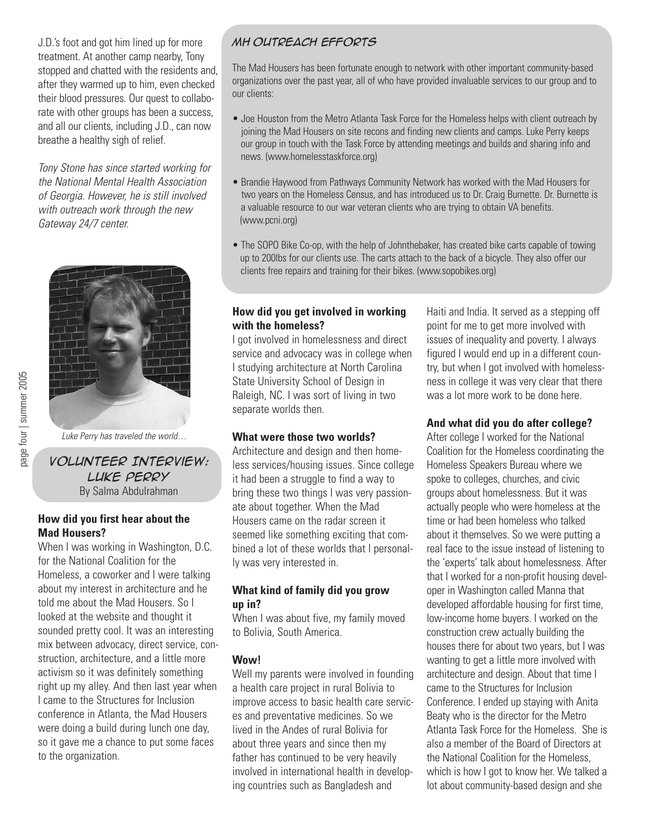J.D.'s foot and got him lined up for more treatment. At another camp nearby, Tony stopped and chatted with the residents and, after they warmed up to him, even checked their blood pressures. Our quest to collaborate with other groups has been a success, and all our clients, including J.D., can now breathe a healthy sigh of relief.

Tony Stone has since started working for the National Mental Health Association of Georgia. However, he is still involved with outreach work through the new Gateway 24/7 center.



page four | summer 2005 page four | summer 2005

#### Luke Perry has traveled the world…

*Volunteer Interview: Luke Perry* By Salma Abdulrahman

#### **How did you first hear about the Mad Housers?**

When I was working in Washington, D.C. for the National Coalition for the Homeless, a coworker and I were talking about my interest in architecture and he told me about the Mad Housers. So I looked at the website and thought it sounded pretty cool. It was an interesting mix between advocacy, direct service, construction, architecture, and a little more activism so it was definitely something right up my alley. And then last year when I came to the Structures for Inclusion conference in Atlanta, the Mad Housers were doing a build during lunch one day, so it gave me a chance to put some faces to the organization.

# *MH outreach efforts*

The Mad Housers has been fortunate enough to network with other important community-based organizations over the past year, all of who have provided invaluable services to our group and to our clients:

- Joe Houston from the Metro Atlanta Task Force for the Homeless helps with client outreach by joining the Mad Housers on site recons and finding new clients and camps. Luke Perry keeps our group in touch with the Task Force by attending meetings and builds and sharing info and news. (www.homelesstaskforce.org)
- Brandie Haywood from Pathways Community Network has worked with the Mad Housers for two years on the Homeless Census, and has introduced us to Dr. Craig Burnette. Dr. Burnette is a valuable resource to our war veteran clients who are trying to obtain VA benefits. (www.pcni.org)
- The SOPO Bike Co-op, with the help of Johnthebaker, has created bike carts capable of towing up to 200lbs for our clients use. The carts attach to the back of a bicycle. They also offer our clients free repairs and training for their bikes. (www.sopobikes.org)

#### **How did you get involved in working with the homeless?**

I got involved in homelessness and direct service and advocacy was in college when I studying architecture at North Carolina State University School of Design in Raleigh, NC. I was sort of living in two separate worlds then.

# **What were those two worlds?**

Architecture and design and then homeless services/housing issues. Since college it had been a struggle to find a way to bring these two things I was very passionate about together. When the Mad Housers came on the radar screen it seemed like something exciting that combined a lot of these worlds that I personally was very interested in.

#### **What kind of family did you grow up in?**

When I was about five, my family moved to Bolivia, South America.

# **Wow!**

Well my parents were involved in founding a health care project in rural Bolivia to improve access to basic health care services and preventative medicines. So we lived in the Andes of rural Bolivia for about three years and since then my father has continued to be very heavily involved in international health in developing countries such as Bangladesh and

Haiti and India. It served as a stepping off point for me to get more involved with issues of inequality and poverty. I always figured I would end up in a different country, but when I got involved with homelessness in college it was very clear that there was a lot more work to be done here.

# **And what did you do after college?**

After college I worked for the National Coalition for the Homeless coordinating the Homeless Speakers Bureau where we spoke to colleges, churches, and civic groups about homelessness. But it was actually people who were homeless at the time or had been homeless who talked about it themselves. So we were putting a real face to the issue instead of listening to the 'experts' talk about homelessness. After that I worked for a non-profit housing developer in Washington called Manna that developed affordable housing for first time, low-income home buyers. I worked on the construction crew actually building the houses there for about two years, but I was wanting to get a little more involved with architecture and design. About that time I came to the Structures for Inclusion Conference. I ended up staying with Anita Beaty who is the director for the Metro Atlanta Task Force for the Homeless. She is also a member of the Board of Directors at the National Coalition for the Homeless, which is how I got to know her. We talked a lot about community-based design and she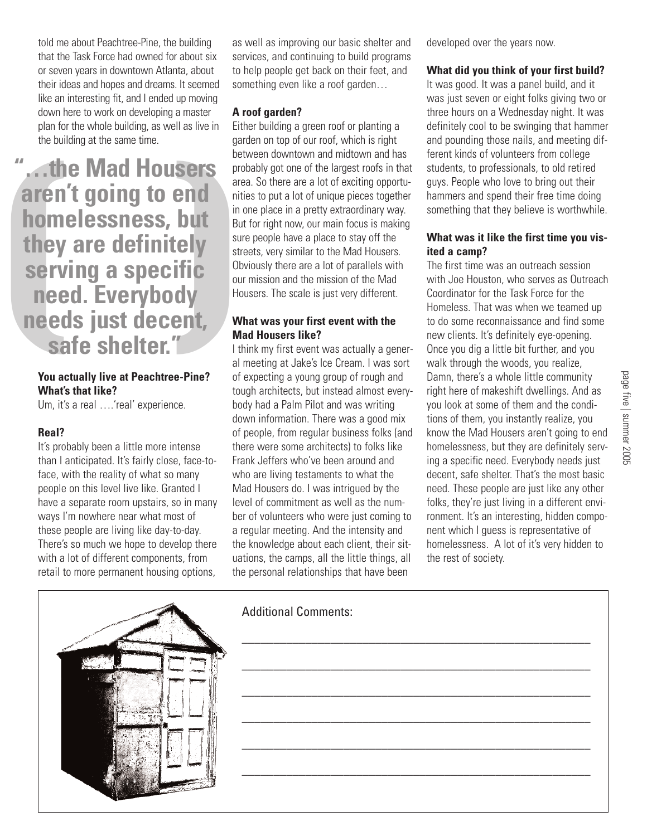told me about Peachtree-Pine, the building that the Task Force had owned for about six or seven years in downtown Atlanta, about their ideas and hopes and dreams. It seemed like an interesting fit, and I ended up moving down here to work on developing a master plan for the whole building, as well as live in the building at the same time.

The Mad Housers<br>
aren't going to end<br>
homelessness, but<br>
they are definitely<br>
serving a specific<br>
need. Everybody<br>
needs just decent,<br>
safe shelter." The Mad Mad<br>
Now actually live at Peachtree-Pine?<br>
What's that like? **aren't going to end homelessness, but they are definitely serving a specific need. Everybody needs just decent, safe shelter."**

### **You actually live at Peachtree-Pine? What's that like?**

Um, it's a real ....'real' experience.

#### **Real?**

It's probably been a little more intense than I anticipated. It's fairly close, face-toface, with the reality of what so many people on this level live like. Granted I have a separate room upstairs, so in many ways I'm nowhere near what most of these people are living like day-to-day. There's so much we hope to develop there with a lot of different components, from retail to more permanent housing options,

as well as improving our basic shelter and services, and continuing to build programs to help people get back on their feet, and something even like a roof garden...

#### **A roof garden?**

Either building a green roof or planting a garden on top of our roof, which is right between downtown and midtown and has probably got one of the largest roofs in that area. So there are a lot of exciting opportunities to put a lot of unique pieces together in one place in a pretty extraordinary way. But for right now, our main focus is making sure people have a place to stay off the streets, very similar to the Mad Housers. Obviously there are a lot of parallels with our mission and the mission of the Mad Housers. The scale is just very different.

### **What was your first event with the Mad Housers like?**

I think my first event was actually a general meeting at Jake's Ice Cream. I was sort of expecting a young group of rough and tough architects, but instead almost everybody had a Palm Pilot and was writing down information. There was a good mix of people, from regular business folks (and there were some architects) to folks like Frank Jeffers who've been around and who are living testaments to what the Mad Housers do. I was intrigued by the level of commitment as well as the number of volunteers who were just coming to a regular meeting. And the intensity and the knowledge about each client, their situations, the camps, all the little things, all the personal relationships that have been

developed over the years now.

#### **What did you think of your first build?**

It was good. It was a panel build, and it was just seven or eight folks giving two or three hours on a Wednesday night. It was definitely cool to be swinging that hammer and pounding those nails, and meeting different kinds of volunteers from college students, to professionals, to old retired guys. People who love to bring out their hammers and spend their free time doing something that they believe is worthwhile.

# **What was it like the first time you visited a camp?**

The first time was an outreach session with Joe Houston, who serves as Outreach Coordinator for the Task Force for the Homeless. That was when we teamed up to do some reconnaissance and find some new clients. It's definitely eye-opening. Once you dig a little bit further, and you walk through the woods, you realize, Damn, there's a whole little community right here of makeshift dwellings. And as you look at some of them and the conditions of them, you instantly realize, you know the Mad Housers aren't going to end homelessness, but they are definitely serving a specific need. Everybody needs just decent, safe shelter. That's the most basic need. These people are just like any other folks, they're just living in a different environment. It's an interesting, hidden component which I guess is representative of homelessness. A lot of it's very hidden to the rest of society.



# Additional Comments:



\_\_\_\_\_\_\_\_\_\_\_\_\_\_\_\_\_\_\_\_\_\_\_\_\_\_\_\_\_\_\_\_\_\_\_\_\_\_\_\_\_\_\_\_\_\_\_\_\_\_\_\_\_\_\_

\_\_\_\_\_\_\_\_\_\_\_\_\_\_\_\_\_\_\_\_\_\_\_\_\_\_\_\_\_\_\_\_\_\_\_\_\_\_\_\_\_\_\_\_\_\_\_\_\_\_\_\_\_\_\_

\_\_\_\_\_\_\_\_\_\_\_\_\_\_\_\_\_\_\_\_\_\_\_\_\_\_\_\_\_\_\_\_\_\_\_\_\_\_\_\_\_\_\_\_\_\_\_\_\_\_\_\_\_\_\_

\_\_\_\_\_\_\_\_\_\_\_\_\_\_\_\_\_\_\_\_\_\_\_\_\_\_\_\_\_\_\_\_\_\_\_\_\_\_\_\_\_\_\_\_\_\_\_\_\_\_\_\_\_\_\_

\_\_\_\_\_\_\_\_\_\_\_\_\_\_\_\_\_\_\_\_\_\_\_\_\_\_\_\_\_\_\_\_\_\_\_\_\_\_\_\_\_\_\_\_\_\_\_\_\_\_\_\_\_\_\_

\_\_\_\_\_\_\_\_\_\_\_\_\_\_\_\_\_\_\_\_\_\_\_\_\_\_\_\_\_\_\_\_\_\_\_\_\_\_\_\_\_\_\_\_\_\_\_\_\_\_\_\_\_\_\_